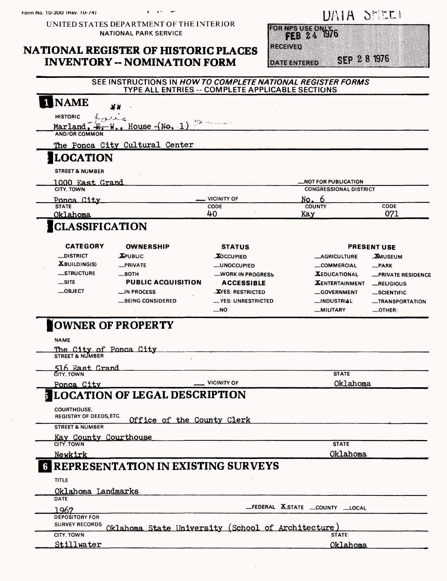UNITED STATES DEPARTMENT OF THE INTERIOR **NATIONAL PARK SERVICE** 

 $\sim$ 

### **NATIONAL REGISTER OF HISTORIC PLACES INVENTORY -- NOMINATION FORM**

| <b>ECEIVED</b> |  |  |  |  |                |  |
|----------------|--|--|--|--|----------------|--|
|                |  |  |  |  |                |  |
|                |  |  |  |  |                |  |
|                |  |  |  |  |                |  |
|                |  |  |  |  |                |  |
|                |  |  |  |  | <b>DED 9 R</b> |  |
|                |  |  |  |  |                |  |

**BEERING** 

r76 893.

**STATE** 

Oklahoma

#### **DATE ENTERED** SEE INSTRUCTIONS IN HOW TO COMPLETE NATIONAL REGISTER FORMS TYPE ALL ENTRIES -- COMPLETE APPLICABLE SECTIONS **NAME** ۷¥ **HISTORIC** fans Marland,  $E - W$ , House  $(W_0,$ AND/OR COMMON The Ponca City Cultural Center **LOCATION STREET & NUMBER** 1000 East Grand **NOT FOR PUBLICATION** CITY, TOWN **CONGRESSIONAL DISTRICT** VICINITY OF 6 Ponca City No. CODE COUNTY  $CODE$ **STATE** 40 **Kay** 071 Oklahoma **CLASSIFICATION CATEGORY OWNERSHIP STATUS PRESENT USE DISTRICT \_AGRICULTURE XMUSEUM XPUBLIC XOCCUPIED XBUILDING(S)** \_PRIVATE \_UNOCCUPIED ....COMMERCIAL -PARK \_STRUCTURE \_WORK IN PROGRESS **ROTH XEDUCATIONAL PRIVATE RESIDENCE**  $\equiv$ SITE **PUBLIC ACQUISITION ACCESSIBLE XENTERTAINMENT**  $-$ RELIGIOUS  $\equiv$ OBJECT \_IN PROCESS XYES: RESTRICTED -GOVERNMENT \_SCIENTIFIC **LBEING CONSIDERED \_\_ YES: UNRESTRICTED** \_INDUSTRIAL -TRANSPORTATION  $M_{-}$ **MILITARY**  $-$ OTHER: OWNER OF PROPERTY **NAME** The City of Ponca City<br>STREET&NUMBER 516 Fast Grand CITY, TOWN **STATE VICINITY OF** Oklahoma Ponca City **LOCATION OF LEGAL DESCRIPTION COURTHOUSE.** REGISTRY OF DEEDS, ETC. Office of the County Clerk **STREET & NUMBER**

Kay County Courthouse CITY, TOWN

Newkirk

# **REPRESENTATION IN EXISTING SURVEYS**

| <b>TITLE</b>          |                                                    |  |
|-----------------------|----------------------------------------------------|--|
| Oklahoma Landmarks    |                                                    |  |
| DATE                  |                                                    |  |
| 1967                  | _FEDERAL XSTATE _COUNTY _LOCAL                     |  |
| <b>DEPOSITORY FOR</b> |                                                    |  |
| <b>SURVEY RECORDS</b> | Oklahoma State University (School of Architecture) |  |
| CITY. TOWN            | <b>STATE</b>                                       |  |
| <u>Stillwater</u>     | <u> Oklahoma</u>                                   |  |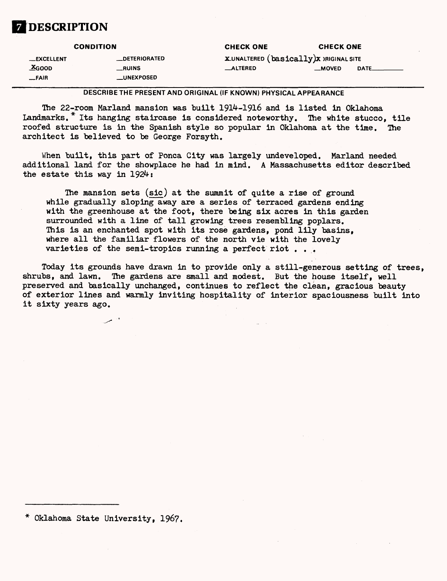

#### **CONDITION**

**CHECK ONE CHECK ONE**

—EXCELLENT **J?GOOD** —FAIR **DETERIORATED** —RUINS \_UNEXPOSED X.UNALTERED (basically)x )RIGINALSITE —ALTERED —MOVED DATE.

DESCRIBE THE PRESENT AND ORIGINAL (IF KNOWN) PHYSICAL APPEARANCE

The 22-room Marland mansion was built 1914-1916 and is listed in Oklahoma Landmarks.<sup>\*</sup> Its hanging staircase is considered noteworthy. The white stucco, tile roofed structure is in the Spanish style so popular in Oklahoma at the time. The architect is believed to be George Forsyth.

When built, this part of Ponca City was largely undeveloped. Marland needed additional land for the showplace he had in mind. A Massachusetts editor described the estate this way in  $1924:$ 

The mansion sets (sic) at the summit of quite a rise of ground while gradually sloping away are a series of terraced gardens ending with the greenhouse at the foot, there being six acres in this garden surrounded with a line of tall growing trees resembling poplars. This is an enchanted spot with its rose gardens, pond lily basins, where all the familiar flowers of the north vie with the lovely varieties of the semi-tropics running a perfect riot . . .

Today its grounds have drawn in to provide only a still-generous setting of trees, shrubs, and lawn. The gardens are small and modest. But the house itself, well preserved and basically unchanged, continues to reflect the clean, gracious beauty of exterior lines and warmly inviting hospitality of interior spaciousness built into it sixty years ago.

Oklahoma State University, 196?.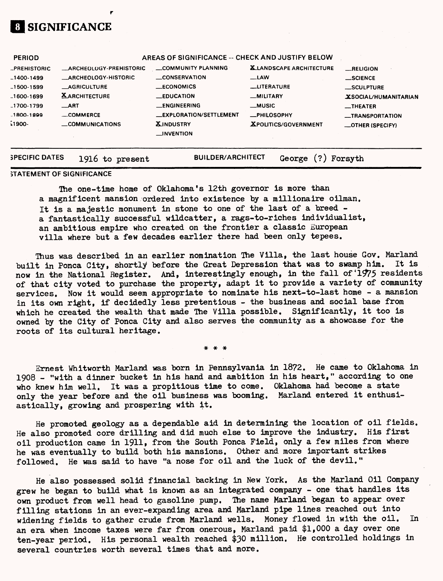# **1 SIGNIFICANCE**

| <b>PERIOD</b>       |                               | AREAS OF SIGNIFICANCE -- CHECK AND JUSTIFY BELOW |                                |                                  |
|---------------------|-------------------------------|--------------------------------------------------|--------------------------------|----------------------------------|
| <b>_PREHISTORIC</b> | <b>ARCHEOLOGY-PREHISTORIC</b> | <b>COMMUNITY PLANNING</b>                        | <b>XLANDSCAPE ARCHITECTURE</b> | RELIGION                         |
| $-1400 - 1499$      | <b>ARCHEOLOGY-HISTORIC</b>    | <b>CONSERVATION</b>                              | $\equiv$ LAW                   | $\equiv$ SCIENCE                 |
| $-1500 - 1599$      | <b>AGRICULTURE</b>            | <b>ECONOMICS</b>                                 | LUTERATURE                     | <b>SCULPTURE</b>                 |
| $-1600-1699$        | <b>XARCHITECTURE</b>          | $\equiv$ EDUCATION                               | <b>MILITARY</b>                | <b>XSOCIAL/HUMANITARIAN</b>      |
| $-1700 - 1799$      | $\overline{\phantom{0}}$ ART  | <b>__ENGINEERING</b>                             | $\_$ MUSIC                     | $\overline{\phantom{0}}$ THEATER |
| $-1800 - 1899$      | COMMERCE                      | <b>EXPLORATION/SETTLEMENT</b>                    | <b>_PHILOSOPHY</b>             | -TRANSPORTATION                  |
| $1900 -$            | <b>COMMUNICATIONS</b>         | <b>XINDUSTRY</b><br>$\Box$ INVENTION             | <b>XPOLITICS/GOVERNMENT</b>    | _OTHER (SPECIFY)                 |
|                     |                               |                                                  |                                |                                  |
|                     |                               |                                                  |                                |                                  |

### SPECIFIC DATES 1916 to present BUILDER/ARCHITECT George (?) Forsyth

#### **STATEMENT OF SIGNIFICANCE**

The one-time home of Oklahoma's 12th governor is more than a magnificent mansion ordered into existence by a millionaire oilman. It is a majestic monument in stone to one of the last of a breed a fantastically successful wildcatter, a rags-to-riches individualist, an ambitious empire who created on the frontier a classic European villa where but a few decades earlier there had been only tepees.

Thus was described in an earlier nomination The Villa, the last house Gov. Marland<br>+ in Ponce City, shortly before the Great Depression that was to swamp him. It is built in Ponca City, shortly before the Great Depression that was to swamp him. now in the National Register. And, interestingly enough, in the fall of 1975 residents of that city voted to purchase the property, adapt it to provide a variety of community services. Now it would seem appropriate to nominate his next-to-last home - a mansion in its own right, if decidedly less pretentious - the business and social base from which he created the wealth that made The Villa possible. Significantly, it too is owned by the City of Ponca City and also serves the community as a showcase for the roots of its cultural heritage.

\* \* \*

Ernest Whitworth Marland was born in Pennsylvania in 1872. He came to Oklahoma in 1908 - "with a dinner bucket in his hand and ambition in his heart," according to one who knew him well. It was a propitious time to come. Oklahoma had become a state only the year before and the oil business was booming. Marland entered it enthusiastically, growing and prospering with it.

He promoted geology as a dependable aid in determining the location of oil fields. He also promoted core drilling and did much else to improve the industry. His first oil production came in 1911, from the South Ponca Field, only a few miles from where he was eventually to build both his mansions. Other and more important strikes followed. He was said to have "a nose for oil and the luck of the devil."

He also possessed solid financial backing in New York. As the Marland Oil Company grew he began to build what is known as an integrated company - one that handles its own product from well head to gasoline pump. The name Marland began to appear over filling stations in an ever-expanding area and Marland pipe lines reached out into widening fields to gather crude from Marland wells. Money flowed in with the oil. In an era when income taxes were far from onerous, Marland paid \$1,000 a day over one ten-year period. His personal wealth reached \$30 million. He controlled holdings in several countries worth several times that and more.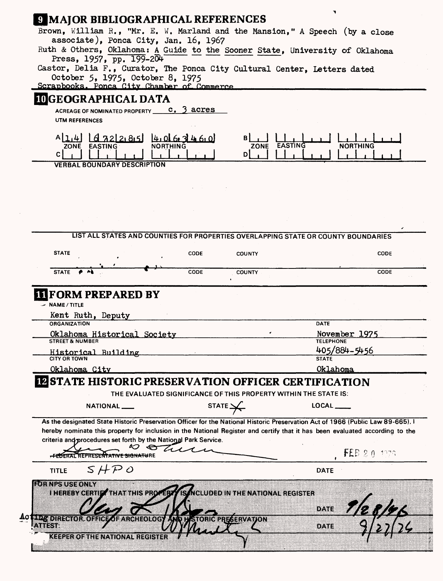### *G* MAJOR BIBLIOGRAPHICAL REFERENCES

Brown, William R., "Mr. E. W. Marland and the Mansion," A Speech (by a close associate), Ponca City, Jan. 16, 196?

Ñ,

Ruth & Others, Oklahoma; A Guide to the Sooner State, University of Oklahoma Press,  $1957, pp. 199-204$ 

Castor, Delia P., Curator, Ihe Ponca City Cultural Center, Letters dated October 5, 1975, October 8, 1975

Scrapbooks. Ponca City Chamber of Commerce

# **RlGEOGRAPHICAL DATA**

ACREAGE OF NOMINATED PROPERTY C. 3 acres **UTM REFERENCES** 

| ി<br>61 Ol<br>- 21<br>տա<br>w<br>ZONE<br><b>NORTHING</b><br>r | R<br>-<br>IMC<br>HMC<br><b>ZONE</b> |
|---------------------------------------------------------------|-------------------------------------|
|                                                               |                                     |

**VERBAL BOUNDARY DESCRIPTION**

| <b>STATE</b>                                                                                                                                                                                                                                                                                                                       | CODE | <b>COUNTY</b>                                                    | <b>CODE</b>                       |
|------------------------------------------------------------------------------------------------------------------------------------------------------------------------------------------------------------------------------------------------------------------------------------------------------------------------------------|------|------------------------------------------------------------------|-----------------------------------|
| <b>STATE</b>                                                                                                                                                                                                                                                                                                                       | CODE | <b>COUNTY</b>                                                    | CODE                              |
| <b>II FORM PREPARED BY</b><br>$\sim$ NAME / TITLE                                                                                                                                                                                                                                                                                  |      |                                                                  |                                   |
| Kent Ruth, Deputy                                                                                                                                                                                                                                                                                                                  |      |                                                                  |                                   |
| <b>ORGANIZATION</b>                                                                                                                                                                                                                                                                                                                |      |                                                                  | DATE                              |
| Oklahoma Historical Society<br><b>STREET &amp; NUMBER</b>                                                                                                                                                                                                                                                                          |      |                                                                  | November 1975<br><b>TELEPHONE</b> |
| Historical Building<br>CITY OR TOWN                                                                                                                                                                                                                                                                                                |      |                                                                  | 405/884-5456                      |
|                                                                                                                                                                                                                                                                                                                                    |      |                                                                  | <b>STATE</b>                      |
|                                                                                                                                                                                                                                                                                                                                    |      |                                                                  |                                   |
| Oklahoma City<br><b>IZ STATE HISTORIC PRESERVATION OFFICER CERTIFICATION</b>                                                                                                                                                                                                                                                       |      | THE EVALUATED SIGNIFICANCE OF THIS PROPERTY WITHIN THE STATE IS: | Oklahoma                          |
| NATIONAL ___                                                                                                                                                                                                                                                                                                                       |      | <b>STATE</b>                                                     | <b>LOCAL</b>                      |
| As the designated State Historic Preservation Officer for the National Historic Preservation Act of 1966 (Public Law 89-665). I<br>hereby nominate this property for inclusion in the National Register and certify that it has been evaluated according to the<br>criteria and procedures set forth by the National Park Service. |      |                                                                  |                                   |
| ⇔<br>REPRESENTATIVE SIGNATURE                                                                                                                                                                                                                                                                                                      |      |                                                                  | FEB 2.0 1976                      |
| SHPO<br><b>TITLE</b>                                                                                                                                                                                                                                                                                                               |      |                                                                  | <b>D'ATE</b>                      |
| rohningung (New<br><b>I HEREBY CERTIFY THAT THIS PROPERTY IS A CLUBED IN THE NATIONAL REGISTER</b>                                                                                                                                                                                                                                 |      |                                                                  |                                   |
| <u> 12 julianus olikova: Archeolog Anni) storie przervadon</u>                                                                                                                                                                                                                                                                     |      |                                                                  | DATE                              |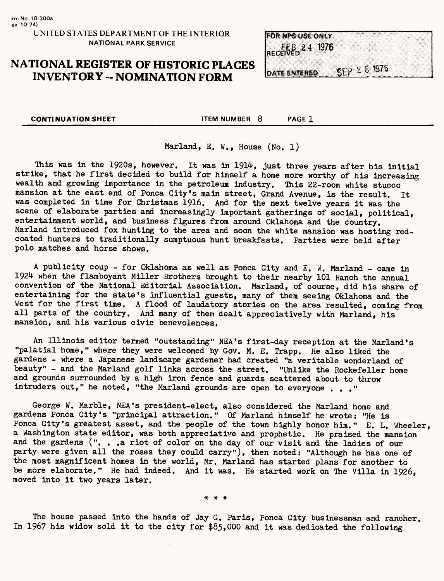### **UNITED STATES DEPARTMENT OF THE INTERIOR NATIONAL PARK SERVICE**

# **NATIONAL REGISTER OF HISTORIC PLACES INVENTORY - NOMINATION FORM**

**FOR NPS USE ONLY**  $FEB<sub>0</sub>24$  1976

**GFP 28 1976** DATE ENTERED

**CONTINUATION SHEET** THE STEM NUMBER 8 PAGE 1

Marland, E. W., House (No. l)

This was in the 1920s, however. It was in 1914, just three years after his initial strike, that he first decided to build for himself a home more worthy of his increasing wealth and growing importance in the petroleum industry. This 22-room white stucco mansion at the east end of Ponca City's main street, Grand Avenue, is the result. It was completed in time for Christmas 1916. And for the next twelve years it was the scene of elaborate parties and increasingly important gatherings of social, political, entertainment world, and business figures from around Oklahoma and the country. Marland introduced fox hunting to the area and soon the white mansion was hosting redcoated hunters to traditionally sumptuous hunt breakfasts. Parties were held after polo matches and horse shows.

A publicity coup - for Oklahoma as well as Ponca City and E, W. Marland - came in 1924 when the flamboyant Miller Brothers brought to their nearby 101 Ranch the annual convention of the National Editorial Association. Marland, of course, did his share of entertaining for the state's influential guests, many of them seeing Oklahoma and the West for the first time. A flood of laudatory stories on the area resulted, coming from all parts of the country. And many of them dealt appreciatively with Marland, his mansion, and his various civic benevolences.

An Illinois editor termed "outstanding" NEA's first-day reception at the Marland's "palatial home," where they were welcomed by Gov. M. E. Trapp. He also liked the gardens - where a Japanese landscape gardener had created "a veritable wonderland of beauty" - and the Marland golf links across the street. "Unlike the Rockefeller home and grounds surrounded by a high iron fence and guards scattered about to throw intruders out," he noted, "the Marland grounds are open to everyone . . ."

George W. Marble, NEA's president-elect, also considered the Marland home and gardens Ponca City's "principal attraction." Of Marland himself he wrote: "He is Ponca City's greatest asset, and the people of the town highly honor him." E. L. Wheeler, a Washington state editor, was both appreciative and prophetic. He praised the mansion and the gardens (". . .a riot of color on the day of our visit and the ladies of our party were given all the roses they could carry"), then noted: "Although he has one of the most magnificent homes in the world, Mr. Marland has started plans for another to be more elaborate." He had indeed. And it was. He started work on Ihe Villa in 1926, moved into it two years later.

\* \* \*

The house passed into the hands of Jay G. Paris, Ponca City businessman and rancher. In 1967 his widow sold it to the city for \$85,000 and it was dedicated the following